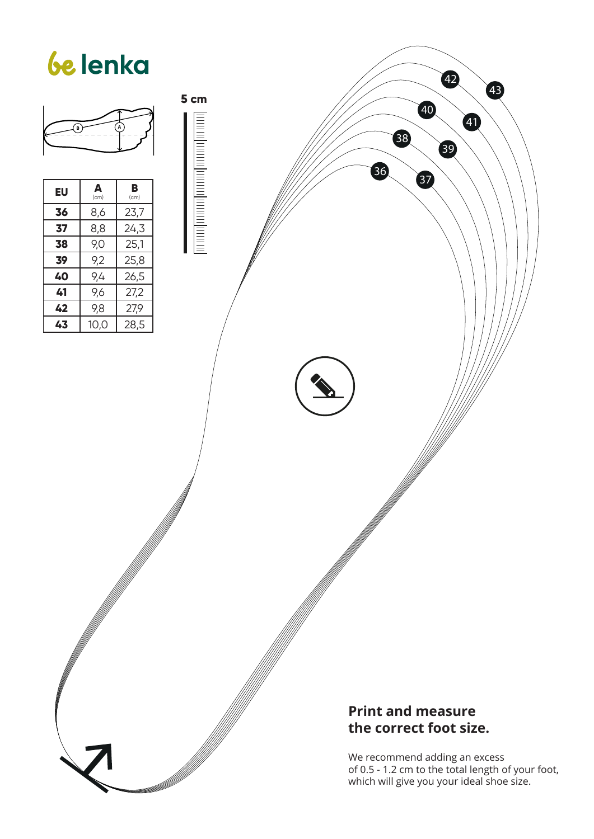

**5 cm**

<u>lannalana dana dana sep</u>

| EU | Δ<br>(cm) | в<br>(cm) |
|----|-----------|-----------|
| 36 | 8,6       | 23,7      |
| 37 | 8,8       | 24,3      |
| 38 | 9,0       | 25,1      |
| 39 | 9,2       | 25,8      |
| 40 | 9,4       | 26,5      |
| 41 | 9,6       | 27,2      |
| 42 | 9,8       | 27,9      |
| 43 | 10,0      | 28,5      |

#### **Print and measure the correct foot size.**

We recommend adding an excess of 0.5 - 1.2 cm to the total length of your foot, which will give you your ideal shoe size.

43

42

39

40

87

38

36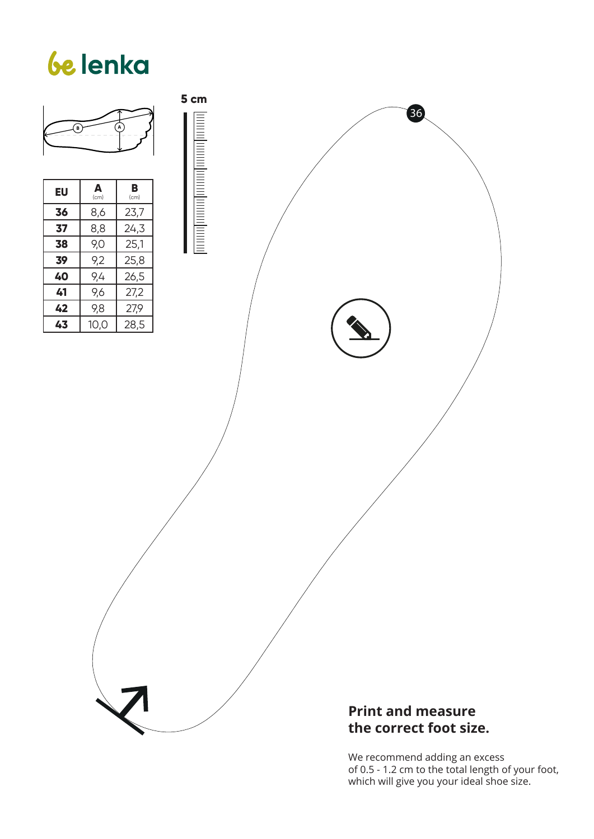

**41** 9,6 27,2 **42** 9,8 27,9 **43** 10,0 28,5 **5 cm** <u>The continued to the continued to the continued to the continued to the continued to the continued to the continued to the continued to the continued to the continued to the continued to the continued to the continued to </u>

#### **Print and measure the correct foot size.**

36

We recommend adding an excess of 0.5 - 1.2 cm to the total length of your foot, which will give you your ideal shoe size.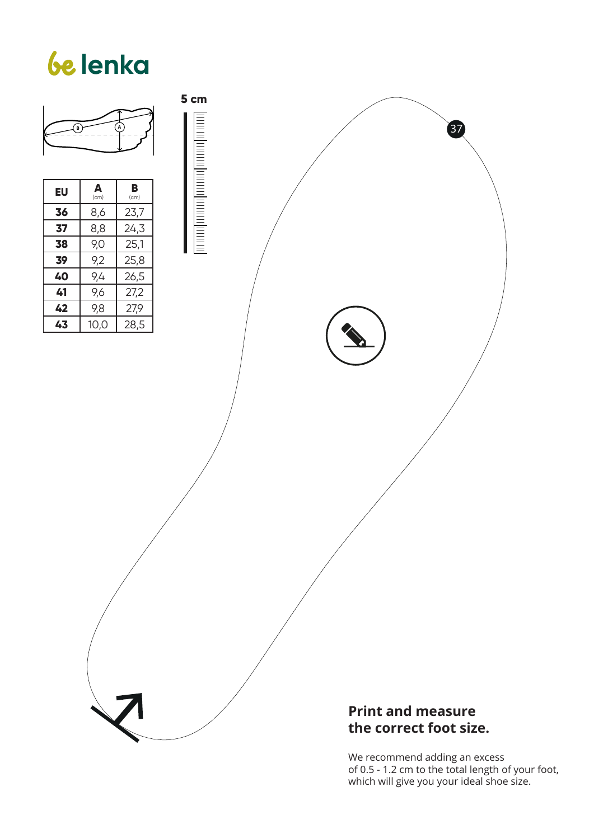

<u>The continued to the continued to the continued to the continued to the continued to the continued to the continued to the continued to the continued to the continued to the continued to the continued to the continued to </u>

**5 cm**

#### **Print and measure the correct foot size.**

We recommend adding an excess of 0.5 - 1.2 cm to the total length of your foot, which will give you your ideal shoe size.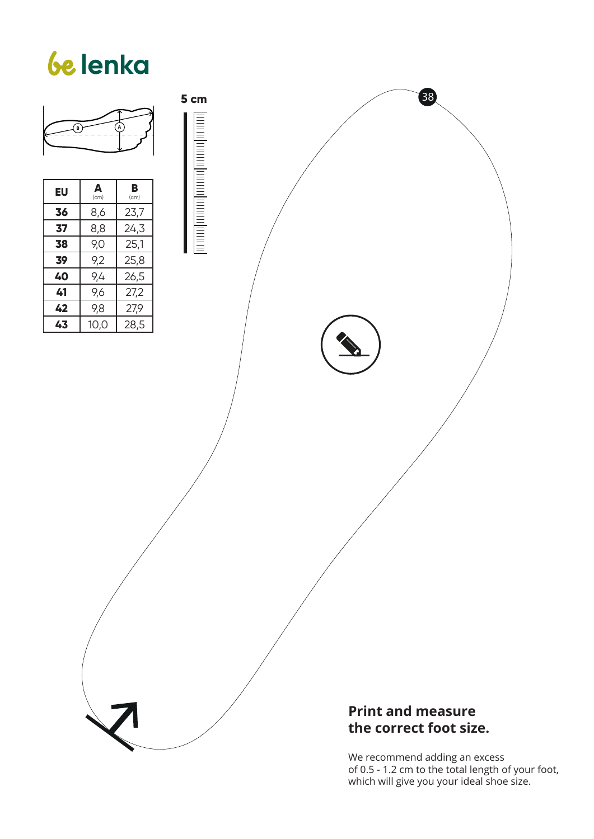

<u>The continued to the continued to the continued to the continued to the continued to the continued to the continued to the continued to the continued to the continued to the continued to the continued to the continued to </u>

#### **Print and measure the correct foot size.**

38

We recommend adding an excess of 0.5 - 1.2 cm to the total length of your foot, which will give you your ideal shoe size.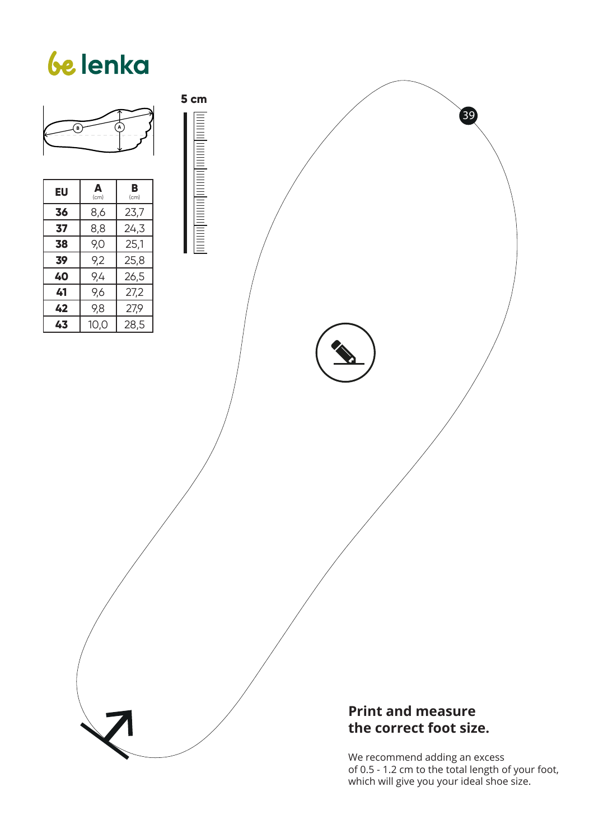

**38** 9,0 25,1 **39** 9,2 25,8 **40** 9,4 26,5  $\overline{41}$  | 9,6 | 27,2 **42** 9,8 27,9 **43** 10,0 28,5 **5 cm**

#### **Print and measure the correct foot size.**

We recommend adding an excess of 0.5 - 1.2 cm to the total length of your foot, which will give you your ideal shoe size.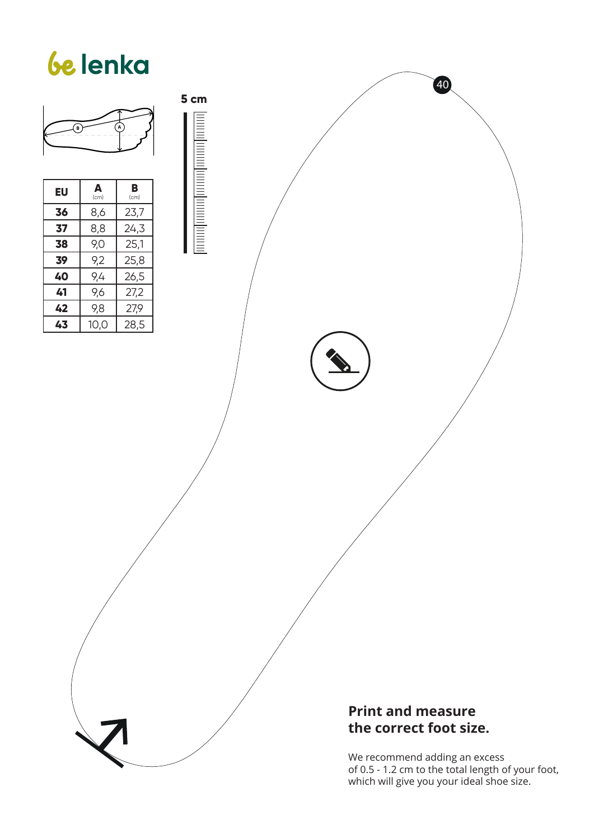

**5 cm**

<u>brondmontpromponent mate</u>

| EU | Δ<br>(cm) | в<br>(cm) |
|----|-----------|-----------|
| 36 | 8,6       | 23,7      |
| 37 | 8,8       | 24,3      |
| 38 | 9,0       | 25,1      |
| 39 | 9,2       | 25,8      |
| 40 | 9,4       | 26,5      |
| 41 | 9,6       | 27,2      |
| 42 | 9,8       | 27,9      |
| 43 | 10,0      | 28,5      |

**Print and measure the correct foot size.**

We recommend adding an excess of 0.5 - 1.2 cm to the total length of your foot, which will give you your ideal shoe size.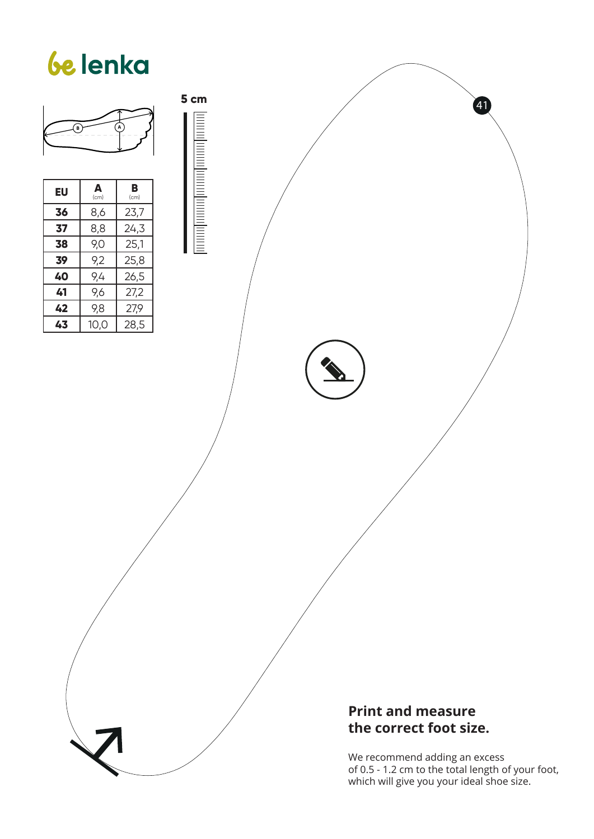

**5 cm**

formal mondponentianum formu

| EU | A<br>(cm) | в<br>(cm) |
|----|-----------|-----------|
| 36 | 8,6       | 23,7      |
| 37 | 8,8       | 24,3      |
| 38 | 9,0       | 25,1      |
| 39 | 9,2       | 25,8      |
| 40 | 9,4       | 26,5      |
| 41 | 9,6       | 27,2      |
| 42 | 9,8       | 27,9      |
| 43 | 10.0      | 28,5      |

#### **Print and measure the correct foot size.**

We recommend adding an excess of 0.5 - 1.2 cm to the total length of your foot, which will give you your ideal shoe size.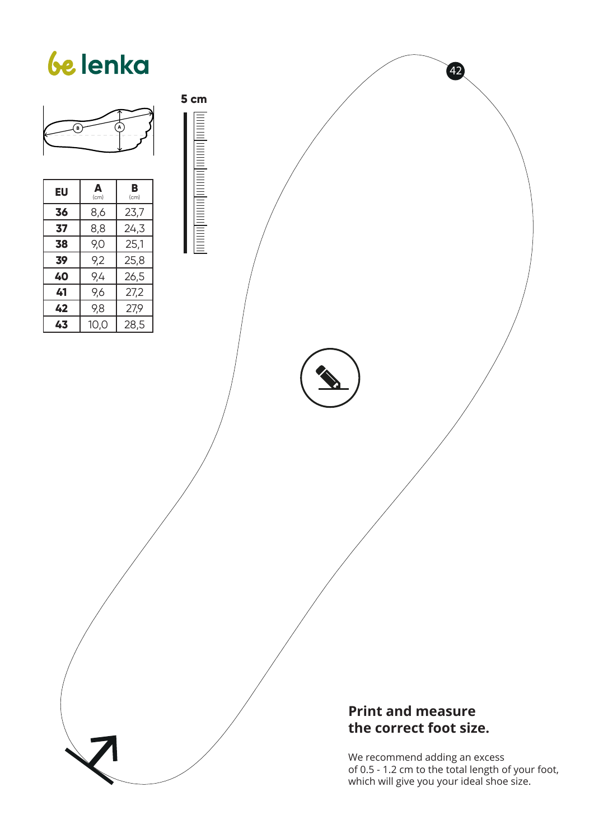

**5 cm**

<u>brondmontpromponent mate</u>

| EU | A<br>(cm) | в<br>(cm) |
|----|-----------|-----------|
| 36 | 8,6       | 23,7      |
| 37 | 8,8       | 24,3      |
| 38 | 9,0       | 25,1      |
| 39 | 9,2       | 25,8      |
| 40 | 9,4       | 26,5      |
| 41 | 9,6       | 27,2      |
| 42 | 9,8       | 27,9      |
| 43 | 10,0      | 28,5      |

**Print and measure the correct foot size.**

We recommend adding an excess of 0.5 - 1.2 cm to the total length of your foot, which will give you your ideal shoe size.

 $(42)$